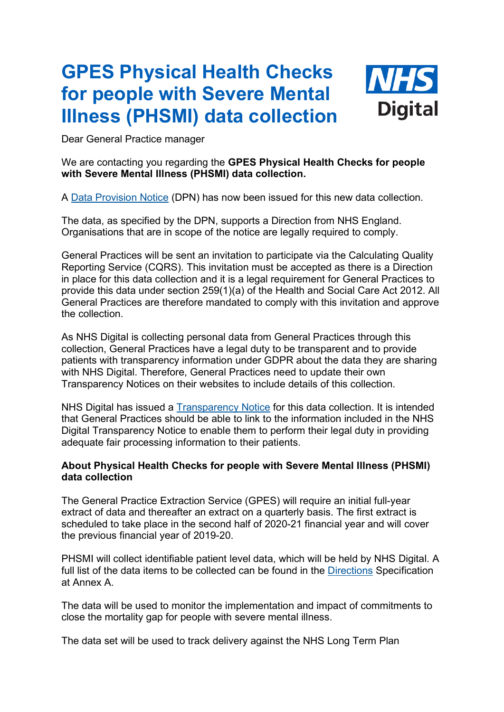## **GPES Physical Health Checks for people with Severe Mental Illness (PHSMI) data collection**



Dear General Practice manager

## We are contacting you regarding the **GPES Physical Health Checks for people with Severe Mental Illness (PHSMI) data collection.**

A [Data Provision Notice](https://elinkeu.clickdimensions.com/c/6/?T=NTgyNTUzNzk%3AcDEtYjIwMzMxLTU1YjRmZjZiZTM3ZDQzZGQ5YzY1MWY3NGMwZTE2ODFm%3Ac2ViYXN0aWFuLm1vc3NAbmhzLm5ldA%3AbGVhZC01ZWYyZGNkYmRiMmZlYjExYmY2ZjAwMGQzYTg2YjhkNS1lODdiOWY3YjM4NGY0Mjc5YTQ1ODYyNGE2ZjdhOGRhMA%3AdHJ1ZQ%3AMA%3A%3AaHR0cHM6Ly9kaWdpdGFsLm5ocy51ay9hYm91dC1uaHMtZGlnaXRhbC9jb3Jwb3JhdGUtaW5mb3JtYXRpb24tYW5kLWRvY3VtZW50cy9kaXJlY3Rpb25zLWFuZC1kYXRhLXByb3Zpc2lvbi1ub3RpY2VzL2RhdGEtcHJvdmlzaW9uLW5vdGljZXMtZHBucy9waHlzaWNhbC1oZWFsdGgtY2hlY2tzLXNldmVyZS1tZW50YWwtaWxsbmVzcz9fY2xkZWU9YzJWaVlYTjBhV0Z1TG0xdmMzTkFibWh6TG01bGRBJTNkJTNkJnJlY2lwaWVudGlkPWxlYWQtNWVmMmRjZGJkYjJmZWIxMWJmNmYwMDBkM2E4NmI4ZDUtZTg3YjlmN2IzODRmNDI3OWE0NTg2MjRhNmY3YThkYTAmZXNpZD1iNWI5ZDYxZS1hYjI5LWViMTEtYTgxMy0wMDBkM2E4NzQ2N2Q&K=yxhdmebSjZRXtXbtsri0-g) (DPN) has now been issued for this new data collection.

The data, as specified by the DPN, supports a Direction from NHS England. Organisations that are in scope of the notice are legally required to comply.

General Practices will be sent an invitation to participate via the Calculating Quality Reporting Service (CQRS). This invitation must be accepted as there is a Direction in place for this data collection and it is a legal requirement for General Practices to provide this data under section 259(1)(a) of the Health and Social Care Act 2012. All General Practices are therefore mandated to comply with this invitation and approve the collection.

As NHS Digital is collecting personal data from General Practices through this collection, General Practices have a legal duty to be transparent and to provide patients with transparency information under GDPR about the data they are sharing with NHS Digital. Therefore, General Practices need to update their own Transparency Notices on their websites to include details of this collection.

NHS Digital has issued a [Transparency Notice](https://elinkeu.clickdimensions.com/c/6/?T=NTgyNTUzNzk%3AcDEtYjIwMzMxLTU1YjRmZjZiZTM3ZDQzZGQ5YzY1MWY3NGMwZTE2ODFm%3Ac2ViYXN0aWFuLm1vc3NAbmhzLm5ldA%3AbGVhZC01ZWYyZGNkYmRiMmZlYjExYmY2ZjAwMGQzYTg2YjhkNS1lODdiOWY3YjM4NGY0Mjc5YTQ1ODYyNGE2ZjdhOGRhMA%3AdHJ1ZQ%3AMQ%3A%3AaHR0cHM6Ly9kaWdpdGFsLm5ocy51ay9hYm91dC1uaHMtZGlnaXRhbC9vdXItd29yay9rZWVwaW5nLXBhdGllbnQtZGF0YS1zYWZlL2dkcHIvZ2Rwci1yZWdpc3Rlcj9fY2xkZWU9YzJWaVlYTjBhV0Z1TG0xdmMzTkFibWh6TG01bGRBJTNkJTNkJnJlY2lwaWVudGlkPWxlYWQtNWVmMmRjZGJkYjJmZWIxMWJmNmYwMDBkM2E4NmI4ZDUtZTg3YjlmN2IzODRmNDI3OWE0NTg2MjRhNmY3YThkYTAmZXNpZD1iNWI5ZDYxZS1hYjI5LWViMTEtYTgxMy0wMDBkM2E4NzQ2N2QjbA&K=wud_6B2Lkwo_hAY8cWX8Bw) for this data collection. It is intended that General Practices should be able to link to the information included in the NHS Digital Transparency Notice to enable them to perform their legal duty in providing adequate fair processing information to their patients.

## **About Physical Health Checks for people with Severe Mental Illness (PHSMI) data collection**

The General Practice Extraction Service (GPES) will require an initial full-year extract of data and thereafter an extract on a quarterly basis. The first extract is scheduled to take place in the second half of 2020-21 financial year and will cover the previous financial year of 2019-20.

PHSMI will collect identifiable patient level data, which will be held by NHS Digital. A full list of the data items to be collected can be found in the [Directions](https://elinkeu.clickdimensions.com/c/6/?T=NTgyNTUzNzk%3AcDEtYjIwMzMxLTU1YjRmZjZiZTM3ZDQzZGQ5YzY1MWY3NGMwZTE2ODFm%3Ac2ViYXN0aWFuLm1vc3NAbmhzLm5ldA%3AbGVhZC01ZWYyZGNkYmRiMmZlYjExYmY2ZjAwMGQzYTg2YjhkNS1lODdiOWY3YjM4NGY0Mjc5YTQ1ODYyNGE2ZjdhOGRhMA%3AdHJ1ZQ%3AMg%3A%3AaHR0cHM6Ly9kaWdpdGFsLm5ocy51ay9hYm91dC1uaHMtZGlnaXRhbC9jb3Jwb3JhdGUtaW5mb3JtYXRpb24tYW5kLWRvY3VtZW50cy9kaXJlY3Rpb25zLWFuZC1kYXRhLXByb3Zpc2lvbi1ub3RpY2VzL25ocy1lbmdsYW5kLWRpcmVjdGlvbnMvcGh5c2ljYWwtaGVhbHRoLWNoZWNrcy1mb3ItcGVvcGxlLXdpdGgtc2V2ZXJlLW1lbnRhbC1pbGxuZXNzLWRpcmVjdGlvbnMtMjAyMD9fY2xkZWU9YzJWaVlYTjBhV0Z1TG0xdmMzTkFibWh6TG01bGRBJTNkJTNkJnJlY2lwaWVudGlkPWxlYWQtNWVmMmRjZGJkYjJmZWIxMWJmNmYwMDBkM2E4NmI4ZDUtZTg3YjlmN2IzODRmNDI3OWE0NTg2MjRhNmY3YThkYTAmZXNpZD1iNWI5ZDYxZS1hYjI5LWViMTEtYTgxMy0wMDBkM2E4NzQ2N2Q&K=dseonetGDdynoeaDtHxmCg) Specification at Annex A.

The data will be used to monitor the implementation and impact of commitments to close the mortality gap for people with severe mental illness.

The data set will be used to track delivery against the NHS Long Term Plan